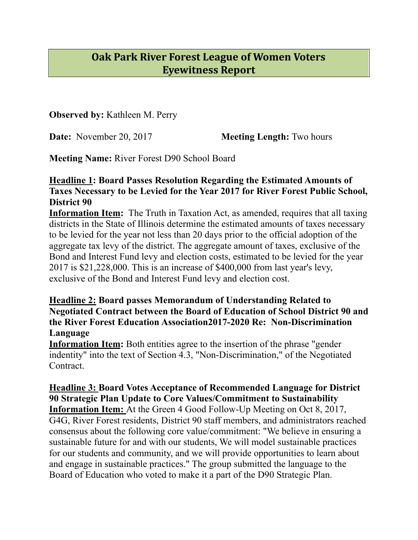# **Oak Park River Forest League of Women Voters Eyewitness Report**

**Observed by:** Kathleen M. Perry

**Date:** November 20, 2017 **Meeting Length:** Two hours

**Meeting Name:** River Forest D90 School Board

### **Headline 1: Board Passes Resolution Regarding the Estimated Amounts of Taxes Necessary to be Levied for the Year 2017 for River Forest Public School, District 90**

**Information Item:** The Truth in Taxation Act, as amended, requires that all taxing districts in the State of Illinois determine the estimated amounts of taxes necessary to be levied for the year not less than 20 days prior to the official adoption of the aggregate tax levy of the district. The aggregate amount of taxes, exclusive of the Bond and Interest Fund levy and election costs, estimated to be levied for the year 2017 is \$21,228,000. This is an increase of \$400,000 from last year's levy, exclusive of the Bond and Interest Fund levy and election cost.

### **Headline 2: Board passes Memorandum of Understanding Related to Negotiated Contract between the Board of Education of School District 90 and the River Forest Education Association2017-2020 Re: Non-Discrimination Language**

**Information Item:** Both entities agree to the insertion of the phrase "gender" indentity" into the text of Section 4.3, "Non-Discrimination," of the Negotiated **Contract** 

**Headline 3: Board Votes Acceptance of Recommended Language for District 90 Strategic Plan Update to Core Values/Commitment to Sustainability Information Item:** At the Green 4 Good Follow-Up Meeting on Oct 8, 2017, G4G, River Forest residents, District 90 staff members, and administrators reached consensus about the following core value/commitment: "We believe in ensuring a sustainable future for and with our students, We will model sustainable practices for our students and community, and we will provide opportunities to learn about and engage in sustainable practices." The group submitted the language to the Board of Education who voted to make it a part of the D90 Strategic Plan.